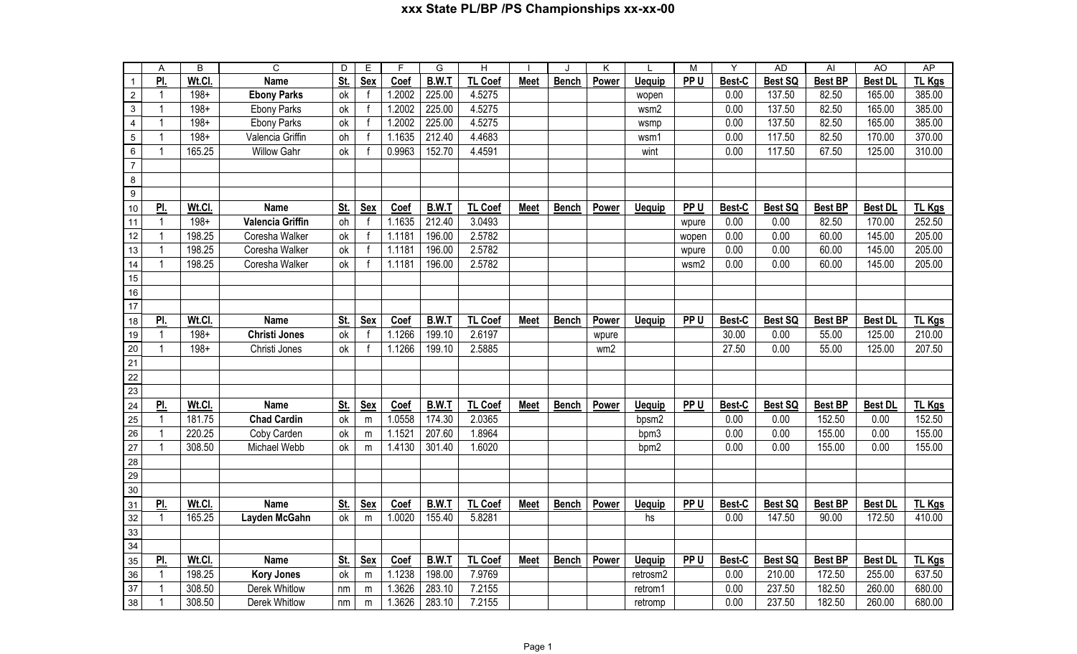## **xxx State PL/BP /PS Championships xx-xx-00**

|                  | A              | B       | $\overline{C}$          | D          | E            | F      | G            | H              |             |              | K     |               | M               | Υ      | <b>AD</b>      | AI             | AO             | <b>AP</b>     |
|------------------|----------------|---------|-------------------------|------------|--------------|--------|--------------|----------------|-------------|--------------|-------|---------------|-----------------|--------|----------------|----------------|----------------|---------------|
| $\mathbf{1}$     | <u>PI.</u>     | Wt.Cl.  | <b>Name</b>             | <u>St.</u> | <b>Sex</b>   | Coef   | <b>B.W.T</b> | <b>TL Coef</b> | <b>Meet</b> | <b>Bench</b> | Power | <b>Uequip</b> | PP <sub>U</sub> | Best-C | <b>Best SQ</b> | <b>Best BP</b> | <b>Best DL</b> | <b>TL Kgs</b> |
| $\overline{2}$   | $\overline{1}$ | $198 +$ | <b>Ebony Parks</b>      | ok         | f            | 1.2002 | 225.00       | 4.5275         |             |              |       | wopen         |                 | 0.00   | 137.50         | 82.50          | 165.00         | 385.00        |
| $\sqrt{3}$       | $\overline{1}$ | $198 +$ | <b>Ebony Parks</b>      | ok         | $\mathsf{f}$ | 1.2002 | 225.00       | 4.5275         |             |              |       | wsm2          |                 | 0.00   | 137.50         | 82.50          | 165.00         | 385.00        |
| $\overline{4}$   | $\mathbf 1$    | $198 +$ | <b>Ebony Parks</b>      | ok         | f            | 1.2002 | 225.00       | 4.5275         |             |              |       | wsmp          |                 | 0.00   | 137.50         | 82.50          | 165.00         | 385.00        |
| $\sqrt{5}$       | $\mathbf 1$    | $198 +$ | Valencia Griffin        | oh         |              | 1.1635 | 212.40       | 4.4683         |             |              |       | wsm1          |                 | 0.00   | 117.50         | 82.50          | 170.00         | 370.00        |
| $\,6\,$          | $\overline{1}$ | 165.25  | <b>Willow Gahr</b>      | ok         |              | 0.9963 | 152.70       | 4.4591         |             |              |       | wint          |                 | 0.00   | 117.50         | 67.50          | 125.00         | 310.00        |
| $\boldsymbol{7}$ |                |         |                         |            |              |        |              |                |             |              |       |               |                 |        |                |                |                |               |
| $\bf 8$          |                |         |                         |            |              |        |              |                |             |              |       |               |                 |        |                |                |                |               |
| $\boldsymbol{9}$ |                |         |                         |            |              |        |              |                |             |              |       |               |                 |        |                |                |                |               |
| 10               | PI.            | Wt.Cl.  | <b>Name</b>             | St.        | <b>Sex</b>   | Coef   | B.W.T        | <b>TL Coef</b> | <b>Meet</b> | <b>Bench</b> | Power | <b>Uequip</b> | PP U            | Best-C | Best SQ        | <b>Best BP</b> | <b>Best DL</b> | <b>TL Kgs</b> |
| 11               | $\mathbf{1}$   | $198 +$ | <b>Valencia Griffin</b> | oh         | $\mathsf{f}$ | 1.1635 | 212.40       | 3.0493         |             |              |       |               | wpure           | 0.00   | 0.00           | 82.50          | 170.00         | 252.50        |
| 12               | $\mathbf{1}$   | 198.25  | Coresha Walker          | ok         | $\mathbf{f}$ | 1.1181 | 196.00       | 2.5782         |             |              |       |               | wopen           | 0.00   | 0.00           | 60.00          | 145.00         | 205.00        |
| 13               | $\mathbf{1}$   | 198.25  | Coresha Walker          | ok         | $\mathsf{f}$ | 1.1181 | 196.00       | 2.5782         |             |              |       |               | wpure           | 0.00   | 0.00           | 60.00          | 145.00         | 205.00        |
| 14               | $\mathbf{1}$   | 198.25  | Coresha Walker          | ok         | $\mathbf{f}$ | 1.1181 | 196.00       | 2.5782         |             |              |       |               | wsm2            | 0.00   | 0.00           | 60.00          | 145.00         | 205.00        |
| 15               |                |         |                         |            |              |        |              |                |             |              |       |               |                 |        |                |                |                |               |
| $16\,$           |                |         |                         |            |              |        |              |                |             |              |       |               |                 |        |                |                |                |               |
| $\overline{17}$  |                |         |                         |            |              |        |              |                |             |              |       |               |                 |        |                |                |                |               |
| 18               | PI.            | Wt.Cl.  | <b>Name</b>             | St.        | <b>Sex</b>   | Coef   | B.W.T        | <b>TL Coef</b> | <b>Meet</b> | <b>Bench</b> | Power | <b>Uequip</b> | PP <sub>U</sub> | Best-C | Best SQ        | <b>Best BP</b> | <b>Best DL</b> | <b>TL Kgs</b> |
| 19               | $\overline{1}$ | $198 +$ | <b>Christi Jones</b>    | ok         | f            | 1.1266 | 199.10       | 2.6197         |             |              | wpure |               |                 | 30.00  | 0.00           | 55.00          | 125.00         | 210.00        |
| 20               | $\mathbf{1}$   | $198 +$ | Christi Jones           | ok         | $\mathbf{f}$ | 1.1266 | 199.10       | 2.5885         |             |              | wm2   |               |                 | 27.50  | 0.00           | 55.00          | 125.00         | 207.50        |
| 21               |                |         |                         |            |              |        |              |                |             |              |       |               |                 |        |                |                |                |               |
| 22               |                |         |                         |            |              |        |              |                |             |              |       |               |                 |        |                |                |                |               |
| 23               |                |         |                         |            |              |        |              |                |             |              |       |               |                 |        |                |                |                |               |
| 24               | PI.            | Wt.Cl.  | <b>Name</b>             | St.        | Sex          | Coef   | B.W.T        | <b>TL Coef</b> | <b>Meet</b> | <b>Bench</b> | Power | <b>Uequip</b> | PP U            | Best-C | <b>Best SQ</b> | <b>Best BP</b> | <b>Best DL</b> | <b>TL Kgs</b> |
| 25               | $\mathbf{1}$   | 181.75  | <b>Chad Cardin</b>      | ok         | m            | 1.0558 | 174.30       | 2.0365         |             |              |       | bpsm2         |                 | 0.00   | 0.00           | 152.50         | 0.00           | 152.50        |
| 26               | $\mathbf{1}$   | 220.25  | Coby Carden             | ok         | m            | 1.1521 | 207.60       | 1.8964         |             |              |       | bpm3          |                 | 0.00   | 0.00           | 155.00         | 0.00           | 155.00        |
| $\overline{27}$  | $\overline{1}$ | 308.50  | Michael Webb            | ok         | m            | 1.4130 | 301.40       | 1.6020         |             |              |       | bpm2          |                 | 0.00   | 0.00           | 155.00         | 0.00           | 155.00        |
| $\overline{28}$  |                |         |                         |            |              |        |              |                |             |              |       |               |                 |        |                |                |                |               |
| 29               |                |         |                         |            |              |        |              |                |             |              |       |               |                 |        |                |                |                |               |
| 30               |                |         |                         |            |              |        |              |                |             |              |       |               |                 |        |                |                |                |               |
| $\overline{31}$  | <u>Pl.</u>     | Wt.Cl.  | <b>Name</b>             | <u>St.</u> | <b>Sex</b>   | Coef   | <b>B.W.T</b> | <b>TL Coef</b> | <b>Meet</b> | <b>Bench</b> | Power | <b>Uequip</b> | PP <sub>U</sub> | Best-C | <b>Best SQ</b> | <b>Best BP</b> | <b>Best DL</b> | <b>TL Kgs</b> |
| 32               | $\mathbf{1}$   | 165.25  | Layden McGahn           | ok         | m            | 1.0020 | 155.40       | 5.8281         |             |              |       | hs            |                 | 0.00   | 147.50         | 90.00          | 172.50         | 410.00        |
| 33               |                |         |                         |            |              |        |              |                |             |              |       |               |                 |        |                |                |                |               |
| 34               |                |         |                         |            |              |        |              |                |             |              |       |               |                 |        |                |                |                |               |
| 35               | PI.            | Wt.Cl.  | <b>Name</b>             | St.        | Sex          | Coef   | B.W.T        | <b>TL Coef</b> | <b>Meet</b> | <b>Bench</b> | Power | <b>Uequip</b> | PP U            | Best-C | <b>Best SQ</b> | <b>Best BP</b> | <b>Best DL</b> | TL Kgs        |
| 36               | $\overline{1}$ | 198.25  | <b>Kory Jones</b>       | ok         | m            | 1.1238 | 198.00       | 7.9769         |             |              |       | retrosm2      |                 | 0.00   | 210.00         | 172.50         | 255.00         | 637.50        |
| 37               | -1             | 308.50  | Derek Whitlow           | nm         | m            | 1.3626 | 283.10       | 7.2155         |             |              |       | retrom1       |                 | 0.00   | 237.50         | 182.50         | 260.00         | 680.00        |
| 38               |                | 308.50  | Derek Whitlow           | nm         | m            | 1.3626 | 283.10       | 7.2155         |             |              |       | retromp       |                 | 0.00   | 237.50         | 182.50         | 260.00         | 680.00        |